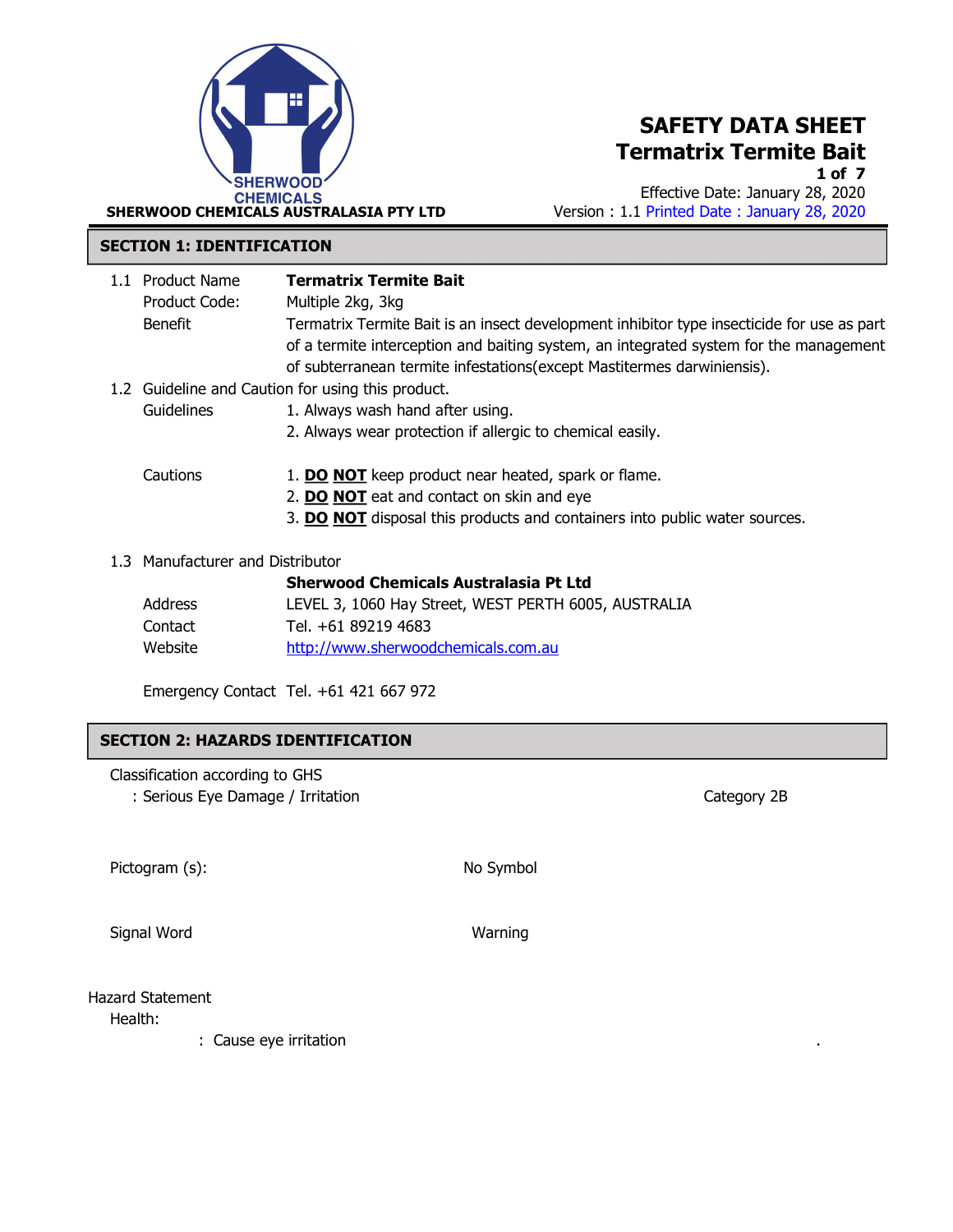

1 of 7

Effective Date: January 28, 2020 Version : 1.1 Printed Date : January 28, 2020

#### SECTION 1: IDENTIFICATION

| 1.1 Product Name<br>Product Code: | <b>Termatrix Termite Bait</b><br>Multiple 2kg, 3kg                                                                                                                                  |
|-----------------------------------|-------------------------------------------------------------------------------------------------------------------------------------------------------------------------------------|
| Benefit                           | Termatrix Termite Bait is an insect development inhibitor type insecticide for use as part<br>of a termite interception and baiting system, an integrated system for the management |
|                                   | of subterranean termite infestations (except Mastitermes darwiniensis).                                                                                                             |
|                                   | 1.2 Guideline and Caution for using this product.                                                                                                                                   |
| Guidelines                        | 1. Always wash hand after using.                                                                                                                                                    |
|                                   | 2. Always wear protection if allergic to chemical easily.                                                                                                                           |
| Cautions                          | 1. <b>DO NOT</b> keep product near heated, spark or flame.                                                                                                                          |
|                                   | 2. DO NOT eat and contact on skin and eye                                                                                                                                           |
|                                   | 3. DO NOT disposal this products and containers into public water sources.                                                                                                          |
| 1.3 Manufacturer and Distributor  |                                                                                                                                                                                     |
|                                   | <b>Sherwood Chemicals Australasia Pt Ltd</b>                                                                                                                                        |
| Address                           | LEVEL 3, 1060 Hay Street, WEST PERTH 6005, AUSTRALIA                                                                                                                                |
| Contact                           | Tel. +61 89219 4683                                                                                                                                                                 |

Emergency Contact Tel. +61 421 667 972

Website http://www.sherwoodchemicals.com.au

### SECTION 2: HAZARDS IDENTIFICATION

Classification according to GHS

: Serious Eye Damage / Irritation Category 2B

Pictogram (s): No Symbol

Signal Word Warning

Hazard Statement Health:

: Cause eye irritation .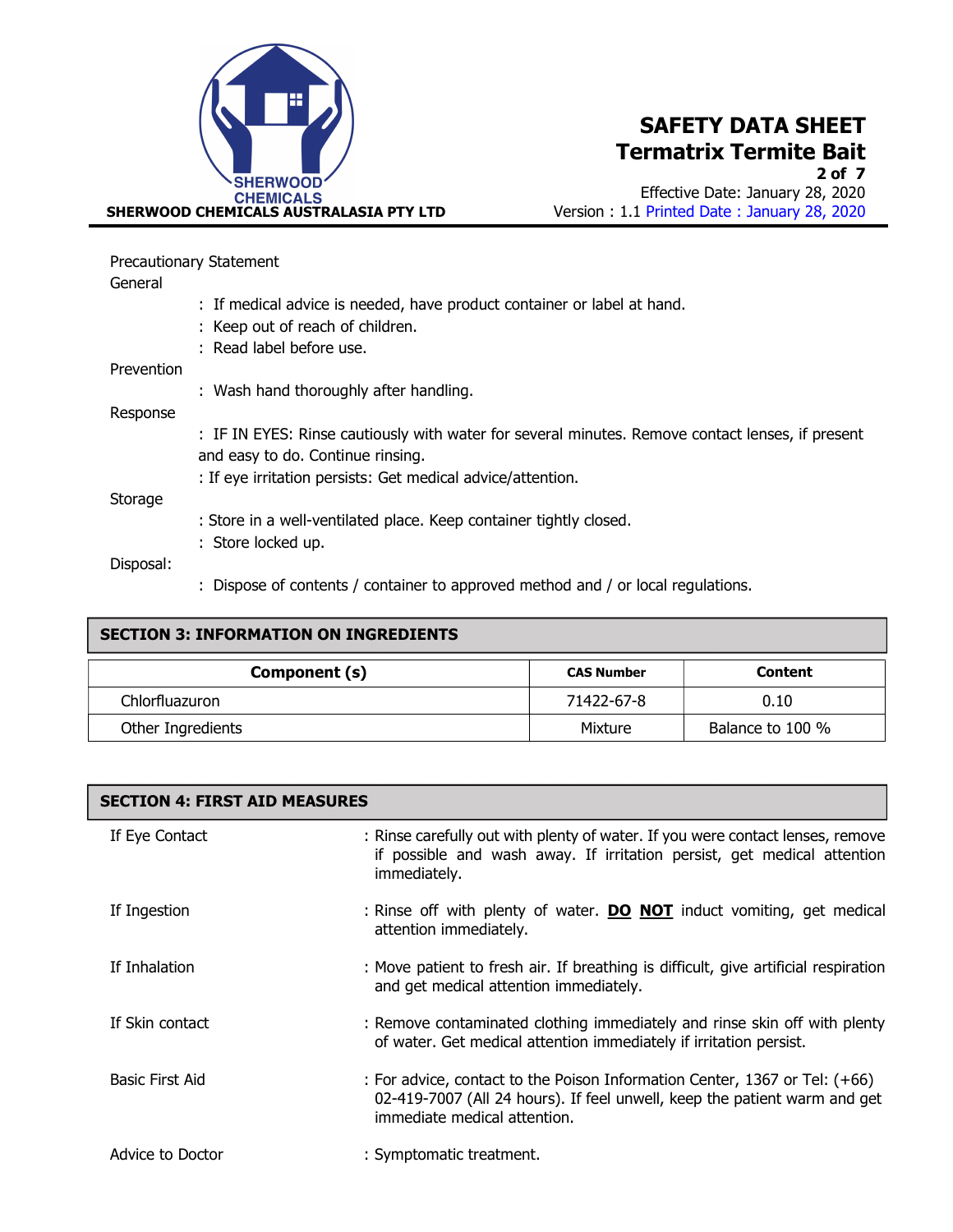

Effective Date: January 28, 2020 Version : 1.1 Printed Date : January 28, 2020

|            | <b>Precautionary Statement</b>                                                                   |  |  |  |
|------------|--------------------------------------------------------------------------------------------------|--|--|--|
| General    |                                                                                                  |  |  |  |
|            | : If medical advice is needed, have product container or label at hand.                          |  |  |  |
|            | : Keep out of reach of children.                                                                 |  |  |  |
|            | : Read label before use.                                                                         |  |  |  |
| Prevention |                                                                                                  |  |  |  |
|            | : Wash hand thoroughly after handling.                                                           |  |  |  |
| Response   |                                                                                                  |  |  |  |
|            | : IF IN EYES: Rinse cautiously with water for several minutes. Remove contact lenses, if present |  |  |  |
|            | and easy to do. Continue rinsing.                                                                |  |  |  |
|            | : If eye irritation persists: Get medical advice/attention.                                      |  |  |  |
| Storage    |                                                                                                  |  |  |  |
|            | : Store in a well-ventilated place. Keep container tightly closed.                               |  |  |  |
|            | : Store locked up.                                                                               |  |  |  |
| Disposal:  |                                                                                                  |  |  |  |
|            | : Dispose of contents / container to approved method and / or local regulations.                 |  |  |  |

| <b>SECTION 3: INFORMATION ON INGREDIENTS</b> |                   |                  |  |
|----------------------------------------------|-------------------|------------------|--|
| Component (s)                                | <b>CAS Number</b> | <b>Content</b>   |  |
| Chlorfluazuron                               | 71422-67-8        | 0.10             |  |
| Other Ingredients                            | Mixture           | Balance to 100 % |  |

| <b>SECTION 4: FIRST AID MEASURES</b> |                                                                                                                                                                                         |  |  |
|--------------------------------------|-----------------------------------------------------------------------------------------------------------------------------------------------------------------------------------------|--|--|
| If Eye Contact                       | : Rinse carefully out with plenty of water. If you were contact lenses, remove<br>if possible and wash away. If irritation persist, get medical attention<br>immediately.               |  |  |
| If Ingestion                         | : Rinse off with plenty of water. <b>DO NOT</b> induct vomiting, get medical<br>attention immediately.                                                                                  |  |  |
| If Inhalation                        | : Move patient to fresh air. If breathing is difficult, give artificial respiration<br>and get medical attention immediately.                                                           |  |  |
| If Skin contact                      | : Remove contaminated clothing immediately and rinse skin off with plenty<br>of water. Get medical attention immediately if irritation persist.                                         |  |  |
| Basic First Aid                      | : For advice, contact to the Poison Information Center, 1367 or Tel: (+66)<br>02-419-7007 (All 24 hours). If feel unwell, keep the patient warm and get<br>immediate medical attention. |  |  |
| Advice to Doctor                     | : Symptomatic treatment.                                                                                                                                                                |  |  |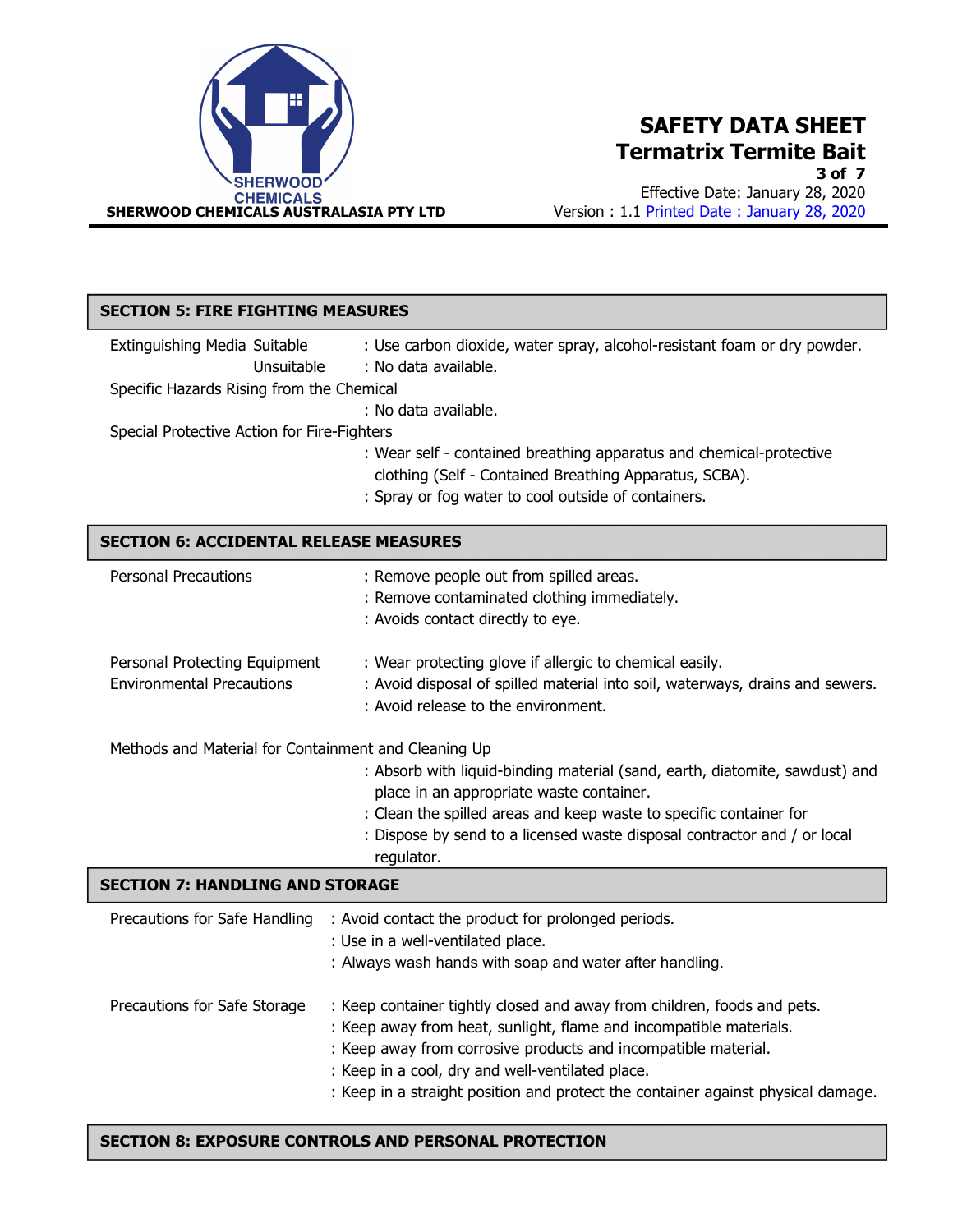

3 of 7

Effective Date: January 28, 2020 Version : 1.1 Printed Date : January 28, 2020

| <b>SECTION 5: FIRE FIGHTING MEASURES</b>                                                |                                                                                                                                                                                                                                                                                         |  |  |
|-----------------------------------------------------------------------------------------|-----------------------------------------------------------------------------------------------------------------------------------------------------------------------------------------------------------------------------------------------------------------------------------------|--|--|
| Extinguishing Media Suitable<br>Unsuitable<br>Specific Hazards Rising from the Chemical | : Use carbon dioxide, water spray, alcohol-resistant foam or dry powder.<br>: No data available.<br>: No data available.                                                                                                                                                                |  |  |
| Special Protective Action for Fire-Fighters                                             | : Wear self - contained breathing apparatus and chemical-protective<br>clothing (Self - Contained Breathing Apparatus, SCBA).<br>: Spray or fog water to cool outside of containers.                                                                                                    |  |  |
| <b>SECTION 6: ACCIDENTAL RELEASE MEASURES</b>                                           |                                                                                                                                                                                                                                                                                         |  |  |
| <b>Personal Precautions</b>                                                             | : Remove people out from spilled areas.<br>: Remove contaminated clothing immediately.<br>: Avoids contact directly to eye.                                                                                                                                                             |  |  |
| Personal Protecting Equipment<br><b>Environmental Precautions</b>                       | : Wear protecting glove if allergic to chemical easily.<br>: Avoid disposal of spilled material into soil, waterways, drains and sewers.<br>: Avoid release to the environment.                                                                                                         |  |  |
| Methods and Material for Containment and Cleaning Up                                    |                                                                                                                                                                                                                                                                                         |  |  |
|                                                                                         | : Absorb with liquid-binding material (sand, earth, diatomite, sawdust) and<br>place in an appropriate waste container.<br>: Clean the spilled areas and keep waste to specific container for<br>: Dispose by send to a licensed waste disposal contractor and / or local<br>regulator. |  |  |
| <b>SECTION 7: HANDLING AND STORAGE</b>                                                  |                                                                                                                                                                                                                                                                                         |  |  |
| Precautions for Safe Handling                                                           | : Avoid contact the product for prolonged periods.<br>: Use in a well-ventilated place.<br>: Always wash hands with soap and water after handling.                                                                                                                                      |  |  |
| Precautions for Safe Storage                                                            | : Keep container tightly closed and away from children, foods and pets.                                                                                                                                                                                                                 |  |  |

- : Keep away from heat, sunlight, flame and incompatible materials.
	- : Keep away from corrosive products and incompatible material.
	- : Keep in a cool, dry and well-ventilated place.
	- : Keep in a straight position and protect the container against physical damage.

### SECTION 8: EXPOSURE CONTROLS AND PERSONAL PROTECTION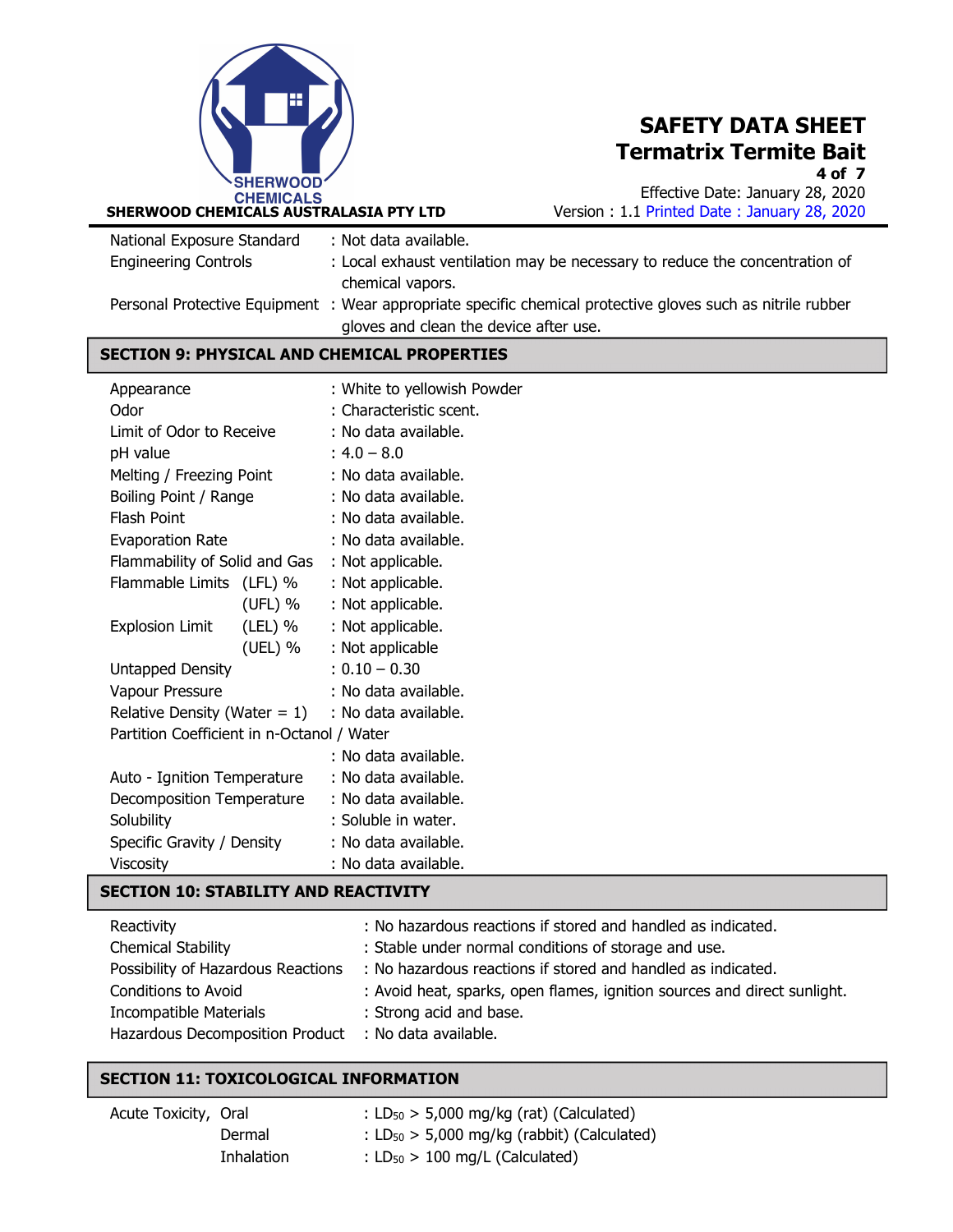

4 of 7

Effective Date: January 28, 2020 Version : 1.1 Printed Date : January 28, 2020

| National Exposure Standard                  | : Not data available.                                                                                       |  |
|---------------------------------------------|-------------------------------------------------------------------------------------------------------------|--|
| <b>Engineering Controls</b>                 | : Local exhaust ventilation may be necessary to reduce the concentration of                                 |  |
|                                             | chemical vapors.                                                                                            |  |
|                                             | Personal Protective Equipment : Wear appropriate specific chemical protective gloves such as nitrile rubber |  |
|                                             | gloves and clean the device after use.                                                                      |  |
| CECTION O. DUVCICAL AND CUEMICAL DRODEDTIEC |                                                                                                             |  |

#### CHEMICAL PROPERTIE

| Appearance |                                            | : White to yellowish Powder |                         |
|------------|--------------------------------------------|-----------------------------|-------------------------|
|            | Odor                                       |                             | : Characteristic scent. |
|            | Limit of Odor to Receive                   |                             | : No data available.    |
|            | pH value                                   |                             | $: 4.0 - 8.0$           |
|            | Melting / Freezing Point                   |                             | : No data available.    |
|            | Boiling Point / Range                      |                             | : No data available.    |
|            | Flash Point                                |                             | : No data available.    |
|            | Evaporation Rate                           |                             | : No data available.    |
|            | Flammability of Solid and Gas              |                             | : Not applicable.       |
|            | Flammable Limits (LFL) %                   |                             | : Not applicable.       |
|            |                                            | (UFL) %                     | : Not applicable.       |
|            | <b>Explosion Limit</b>                     | (LEL) %                     | : Not applicable.       |
|            |                                            | (UEL) %                     | : Not applicable        |
|            | Untapped Density                           |                             | $: 0.10 - 0.30$         |
|            | Vapour Pressure                            |                             | : No data available.    |
|            | Relative Density (Water $= 1$ )            |                             | : No data available.    |
|            | Partition Coefficient in n-Octanol / Water |                             |                         |
|            |                                            |                             | : No data available.    |
|            | Auto - Ignition Temperature                |                             | : No data available.    |
|            | Decomposition Temperature                  |                             | : No data available.    |
|            | Solubility                                 |                             | : Soluble in water.     |
|            | Specific Gravity / Density                 |                             | : No data available.    |
|            | Viscosity                                  |                             | : No data available.    |

### SECTION 10: STABILITY AND REACTIVITY

| Reactivity                                           | : No hazardous reactions if stored and handled as indicated.                                    |
|------------------------------------------------------|-------------------------------------------------------------------------------------------------|
| <b>Chemical Stability</b>                            | : Stable under normal conditions of storage and use.                                            |
|                                                      | Possibility of Hazardous Reactions : No hazardous reactions if stored and handled as indicated. |
| Conditions to Avoid                                  | : Avoid heat, sparks, open flames, ignition sources and direct sunlight.                        |
| <b>Incompatible Materials</b>                        | : Strong acid and base.                                                                         |
| Hazardous Decomposition Product : No data available. |                                                                                                 |

#### SECTION 11: TOXICOLOGICAL INFORMATION

| Acute Toxicity, Oral |            | : $LD_{50}$ > 5,000 mg/kg (rat) (Calculated)             |
|----------------------|------------|----------------------------------------------------------|
|                      | Dermal     | : LD <sub>50</sub> $>$ 5,000 mg/kg (rabbit) (Calculated) |
|                      | Inhalation | : $LD_{50}$ > 100 mg/L (Calculated)                      |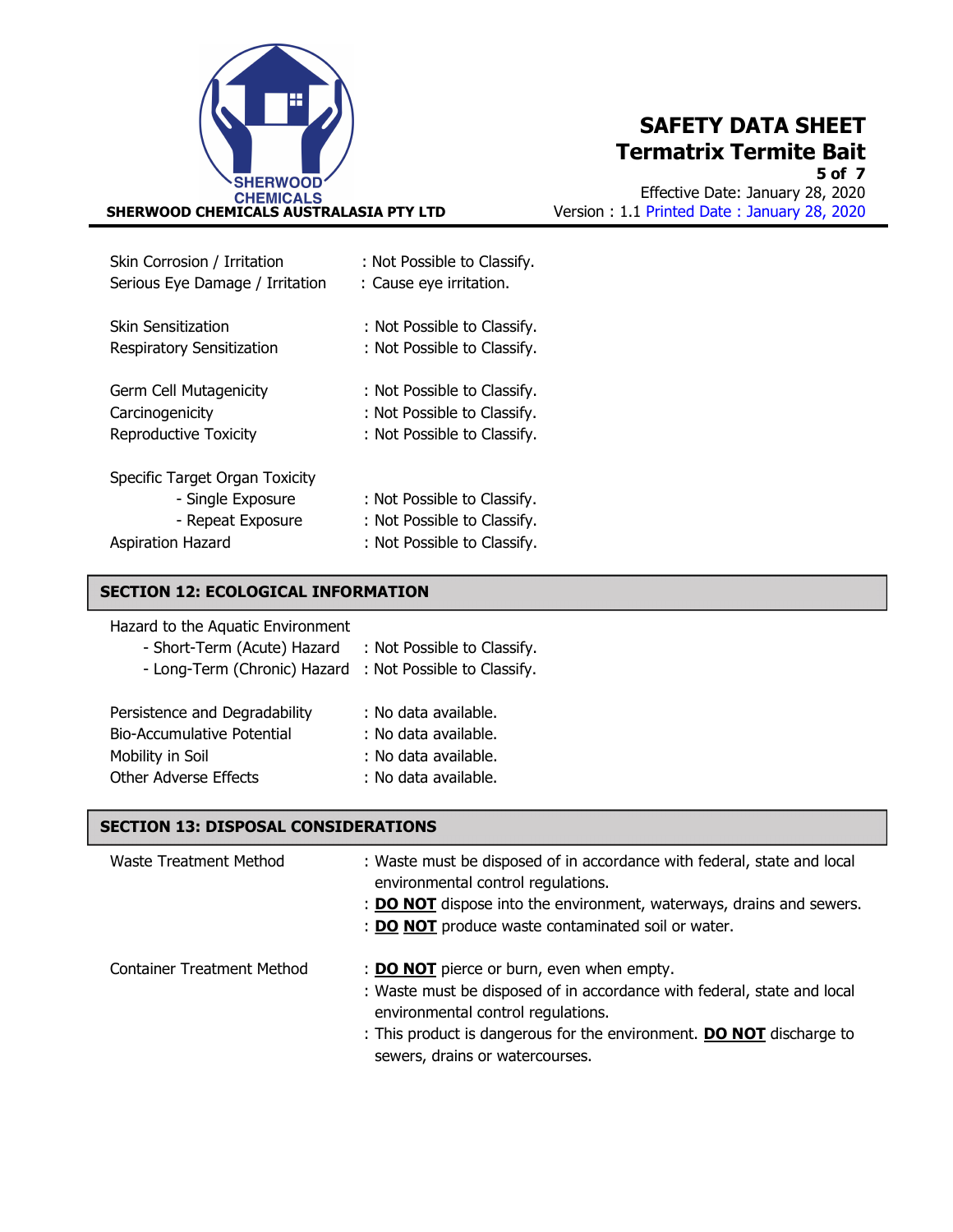

5 of 7 Effective Date: January 28, 2020 Version : 1.1 Printed Date : January 28, 2020

| Skin Corrosion / Irritation                                                                          | : Not Possible to Classify.                                                               |
|------------------------------------------------------------------------------------------------------|-------------------------------------------------------------------------------------------|
| Serious Eye Damage / Irritation                                                                      | : Cause eye irritation.                                                                   |
| Skin Sensitization                                                                                   | : Not Possible to Classify.                                                               |
| Respiratory Sensitization                                                                            | : Not Possible to Classify.                                                               |
| Germ Cell Mutagenicity                                                                               | : Not Possible to Classify.                                                               |
| Carcinogenicity                                                                                      | : Not Possible to Classify.                                                               |
| <b>Reproductive Toxicity</b>                                                                         | : Not Possible to Classify.                                                               |
| Specific Target Organ Toxicity<br>- Single Exposure<br>- Repeat Exposure<br><b>Aspiration Hazard</b> | : Not Possible to Classify.<br>: Not Possible to Classify.<br>: Not Possible to Classify. |

#### SECTION 12: ECOLOGICAL INFORMATION

| Hazard to the Aquatic Environment |  |
|-----------------------------------|--|
|-----------------------------------|--|

| : Not Possible to Classify. |
|-----------------------------|
| : Not Possible to Classify. |
|                             |
| : No data available.        |
| : No data available.        |
| : No data available.        |
| : No data available.        |
|                             |

#### SECTION 13: DISPOSAL CONSIDERATIONS

| Waste Treatment Method            | : Waste must be disposed of in accordance with federal, state and local<br>environmental control regulations.<br>: <b>DO NOT</b> dispose into the environment, waterways, drains and sewers.<br>: DO NOT produce waste contaminated soil or water.                           |
|-----------------------------------|------------------------------------------------------------------------------------------------------------------------------------------------------------------------------------------------------------------------------------------------------------------------------|
| <b>Container Treatment Method</b> | : <b>DO NOT</b> pierce or burn, even when empty.<br>: Waste must be disposed of in accordance with federal, state and local<br>environmental control regulations.<br>: This product is dangerous for the environment. DO NOT discharge to<br>sewers, drains or watercourses. |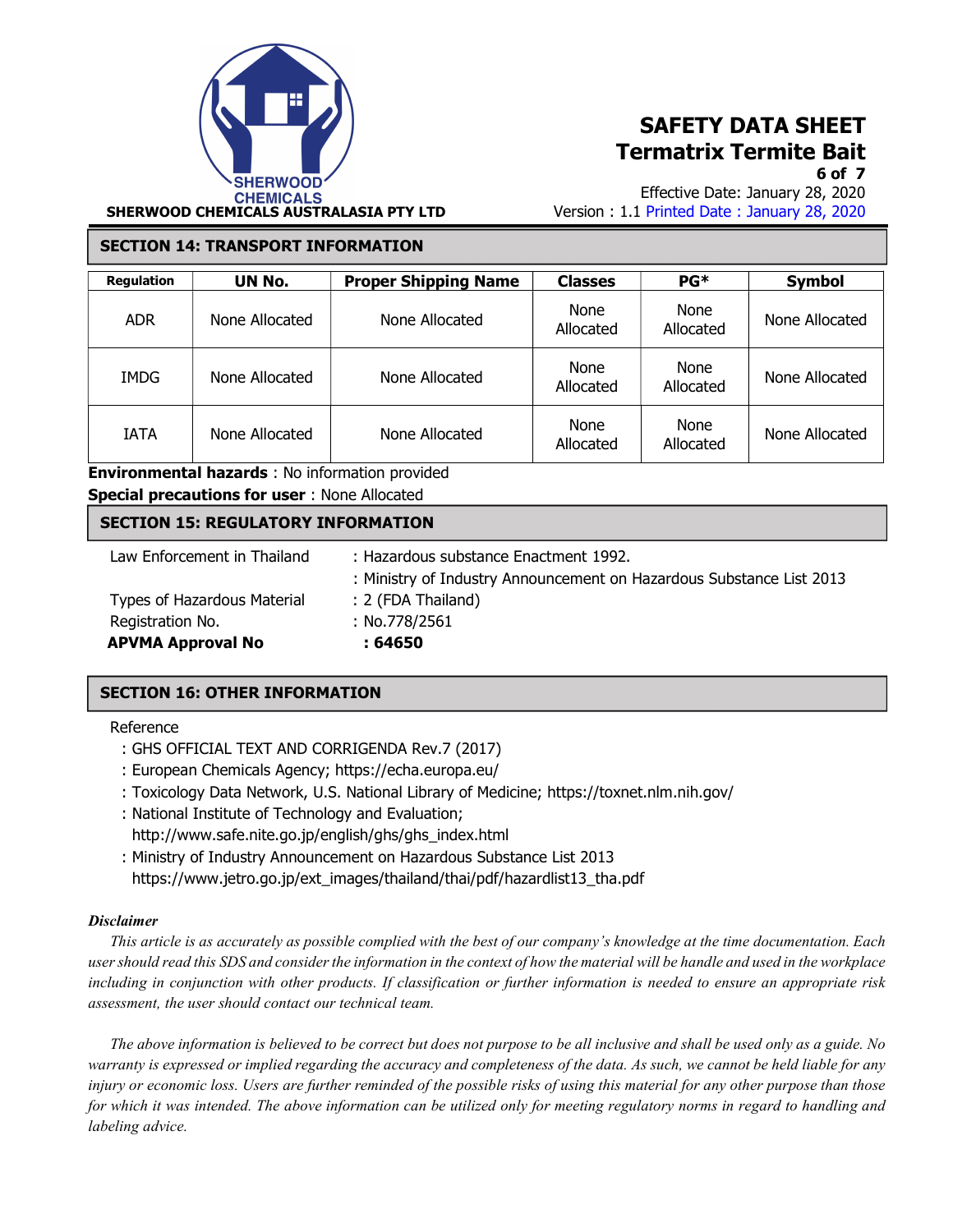

Effective Date: January 28, 2020 Version : 1.1 Printed Date : January 28, 2020

#### SECTION 14: TRANSPORT INFORMATION

| <b>Regulation</b> | UN No.         | <b>Proper Shipping Name</b> | <b>Classes</b>    | $PG*$             | <b>Symbol</b>  |
|-------------------|----------------|-----------------------------|-------------------|-------------------|----------------|
| <b>ADR</b>        | None Allocated | None Allocated              | None<br>Allocated | None<br>Allocated | None Allocated |
| <b>IMDG</b>       | None Allocated | None Allocated              | None<br>Allocated | None<br>Allocated | None Allocated |
| <b>IATA</b>       | None Allocated | None Allocated              | None<br>Allocated | None<br>Allocated | None Allocated |

: Ministry of Industry Announcement on Hazardous Substance List 2013

Environmental hazards : No information provided

```
Special precautions for user : None Allocated
```
#### SECTION 15: REGULATORY INFORMATION

Law Enforcement in Thailand : Hazardous substance Enactment 1992.

 Types of Hazardous Material : 2 (FDA Thailand) Registration No. : No.778/2561 APVMA Approval No : 64650

- 
- 

#### SECTION 16: OTHER INFORMATION

#### Reference

- : GHS OFFICIAL TEXT AND CORRIGENDA Rev.7 (2017)
- : European Chemicals Agency; https://echa.europa.eu/
- : Toxicology Data Network, U.S. National Library of Medicine; https://toxnet.nlm.nih.gov/
- : National Institute of Technology and Evaluation;
	- http://www.safe.nite.go.jp/english/ghs/ghs\_index.html
- : Ministry of Industry Announcement on Hazardous Substance List 2013 https://www.jetro.go.jp/ext\_images/thailand/thai/pdf/hazardlist13\_tha.pdf

#### **Disclaimer**

 This article is as accurately as possible complied with the best of our company's knowledge at the time documentation. Each user should read this SDS and consider the information in the context of how the material will be handle and used in the workplace including in conjunction with other products. If classification or further information is needed to ensure an appropriate risk assessment, the user should contact our technical team.

 The above information is believed to be correct but does not purpose to be all inclusive and shall be used only as a guide. No warranty is expressed or implied regarding the accuracy and completeness of the data. As such, we cannot be held liable for any injury or economic loss. Users are further reminded of the possible risks of using this material for any other purpose than those for which it was intended. The above information can be utilized only for meeting regulatory norms in regard to handling and labeling advice.